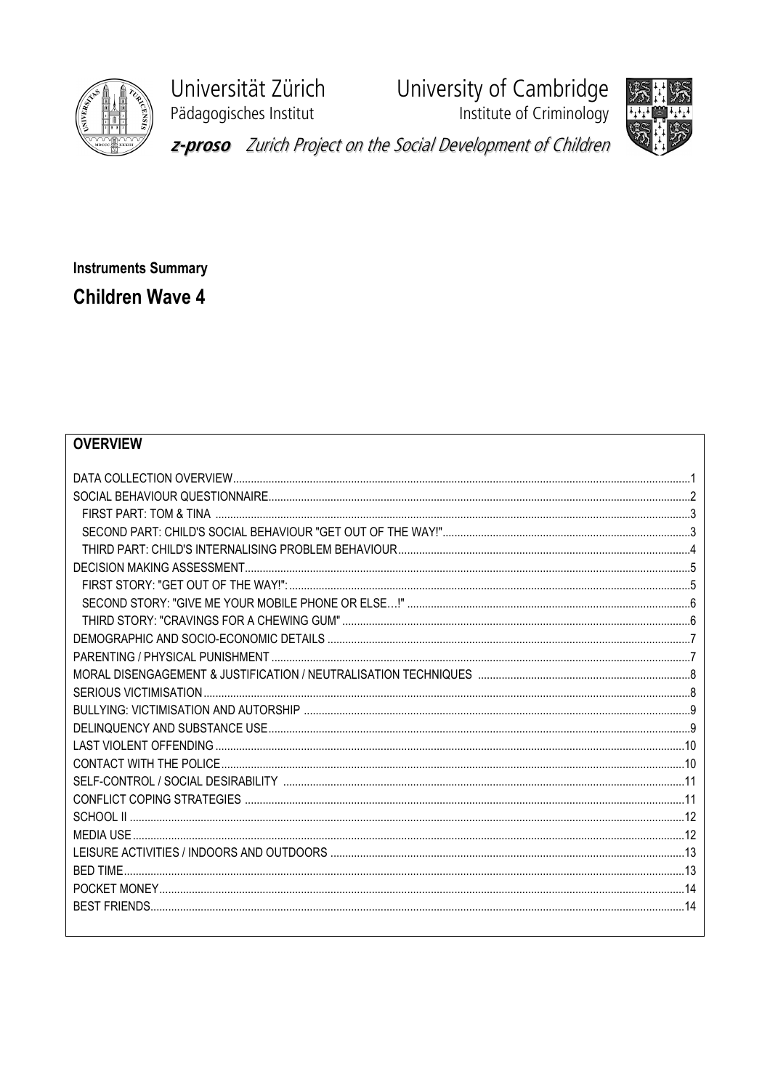

Universität Zürich Pädagogisches Institut

University of Cambridge<br>Institute of Criminology





z-proso Zurich Project on the Social Development of Children

**Instruments Summary Children Wave 4** 

### **OVERVIEW**

| <b>BED TIME</b> |  |
|-----------------|--|
|                 |  |
|                 |  |
|                 |  |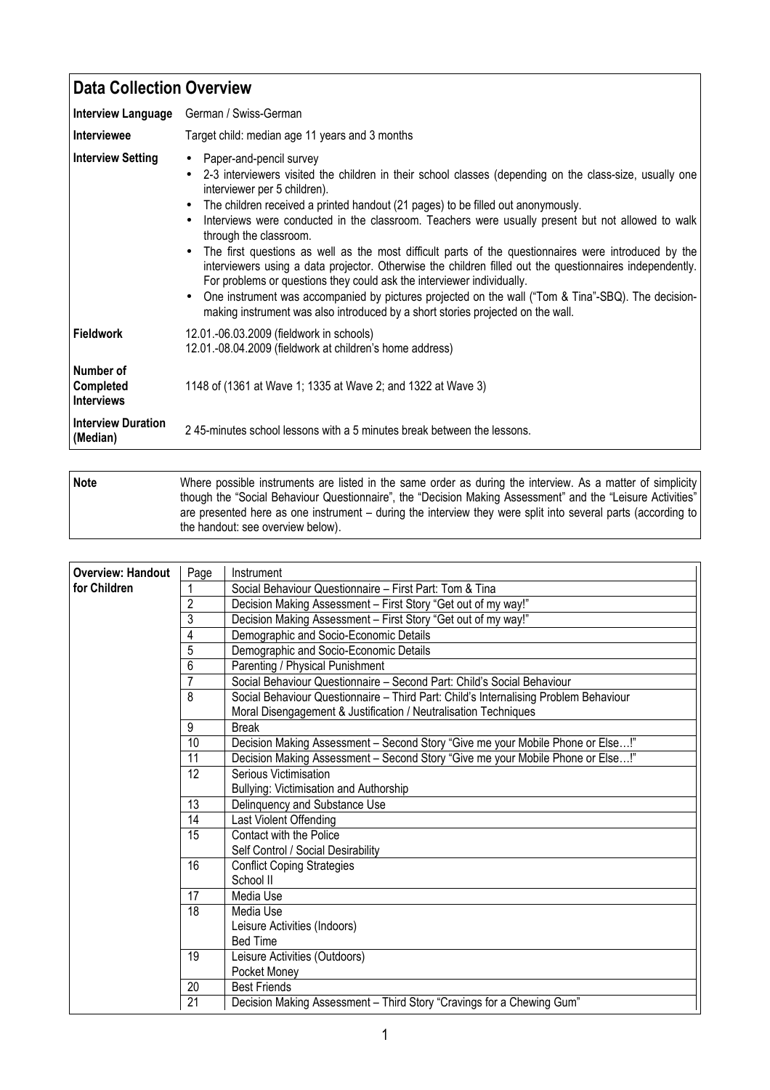| <b>Data Collection Overview</b>             |                                                                                                                                                                                                                                                                                                                                                                                                                                                                                                                                                                                                                                                                                                                                                                                                                                                                                |
|---------------------------------------------|--------------------------------------------------------------------------------------------------------------------------------------------------------------------------------------------------------------------------------------------------------------------------------------------------------------------------------------------------------------------------------------------------------------------------------------------------------------------------------------------------------------------------------------------------------------------------------------------------------------------------------------------------------------------------------------------------------------------------------------------------------------------------------------------------------------------------------------------------------------------------------|
| <b>Interview Language</b>                   | German / Swiss-German                                                                                                                                                                                                                                                                                                                                                                                                                                                                                                                                                                                                                                                                                                                                                                                                                                                          |
| <b>Interviewee</b>                          | Target child: median age 11 years and 3 months                                                                                                                                                                                                                                                                                                                                                                                                                                                                                                                                                                                                                                                                                                                                                                                                                                 |
| <b>Interview Setting</b>                    | • Paper-and-pencil survey<br>2-3 interviewers visited the children in their school classes (depending on the class-size, usually one<br>interviewer per 5 children).<br>The children received a printed handout (21 pages) to be filled out anonymously.<br>Interviews were conducted in the classroom. Teachers were usually present but not allowed to walk<br>through the classroom.<br>The first questions as well as the most difficult parts of the questionnaires were introduced by the<br>interviewers using a data projector. Otherwise the children filled out the questionnaires independently.<br>For problems or questions they could ask the interviewer individually.<br>One instrument was accompanied by pictures projected on the wall ("Tom & Tina"-SBQ). The decision-<br>making instrument was also introduced by a short stories projected on the wall. |
| <b>Fieldwork</b>                            | 12.01.-06.03.2009 (fieldwork in schools)<br>12.01.-08.04.2009 (fieldwork at children's home address)                                                                                                                                                                                                                                                                                                                                                                                                                                                                                                                                                                                                                                                                                                                                                                           |
| Number of<br>Completed<br><b>Interviews</b> | 1148 of (1361 at Wave 1; 1335 at Wave 2; and 1322 at Wave 3)                                                                                                                                                                                                                                                                                                                                                                                                                                                                                                                                                                                                                                                                                                                                                                                                                   |
| <b>Interview Duration</b><br>(Median)       | 245-minutes school lessons with a 5 minutes break between the lessons.                                                                                                                                                                                                                                                                                                                                                                                                                                                                                                                                                                                                                                                                                                                                                                                                         |

**Note** Where possible instruments are listed in the same order as during the interview. As a matter of simplicity though the "Social Behaviour Questionnaire", the "Decision Making Assessment" and the "Leisure Activities" are presented here as one instrument – during the interview they were split into several parts (according to the handout: see overview below).

| <b>Overview: Handout</b> | Page            | Instrument                                                                           |
|--------------------------|-----------------|--------------------------------------------------------------------------------------|
| for Children             | 1               | Social Behaviour Questionnaire - First Part: Tom & Tina                              |
|                          | 2               | Decision Making Assessment - First Story "Get out of my way!"                        |
|                          | $\overline{3}$  | Decision Making Assessment - First Story "Get out of my way!"                        |
|                          | 4               | Demographic and Socio-Economic Details                                               |
|                          | 5               | Demographic and Socio-Economic Details                                               |
|                          | 6               | Parenting / Physical Punishment                                                      |
|                          | $\overline{7}$  | Social Behaviour Questionnaire - Second Part: Child's Social Behaviour               |
|                          | 8               | Social Behaviour Questionnaire - Third Part: Child's Internalising Problem Behaviour |
|                          |                 | Moral Disengagement & Justification / Neutralisation Techniques                      |
|                          | 9               | <b>Break</b>                                                                         |
|                          | 10              | Decision Making Assessment - Second Story "Give me your Mobile Phone or Else!"       |
|                          | 11              | Decision Making Assessment - Second Story "Give me your Mobile Phone or Else!"       |
|                          | 12              | Serious Victimisation                                                                |
|                          |                 | Bullying: Victimisation and Authorship                                               |
|                          | $\overline{13}$ | Delinquency and Substance Use                                                        |
|                          | $\overline{14}$ | Last Violent Offending                                                               |
|                          | $\overline{15}$ | <b>Contact with the Police</b>                                                       |
|                          |                 | Self Control / Social Desirability                                                   |
|                          | $\overline{16}$ | <b>Conflict Coping Strategies</b>                                                    |
|                          |                 | School II                                                                            |
|                          | 17              | Media Use                                                                            |
|                          | 18              | Media Use                                                                            |
|                          |                 | Leisure Activities (Indoors)                                                         |
|                          |                 | <b>Bed Time</b>                                                                      |
|                          | 19              | Leisure Activities (Outdoors)                                                        |
|                          |                 | Pocket Money                                                                         |
|                          | 20              | <b>Best Friends</b>                                                                  |
|                          | 21              | Decision Making Assessment - Third Story "Cravings for a Chewing Gum"                |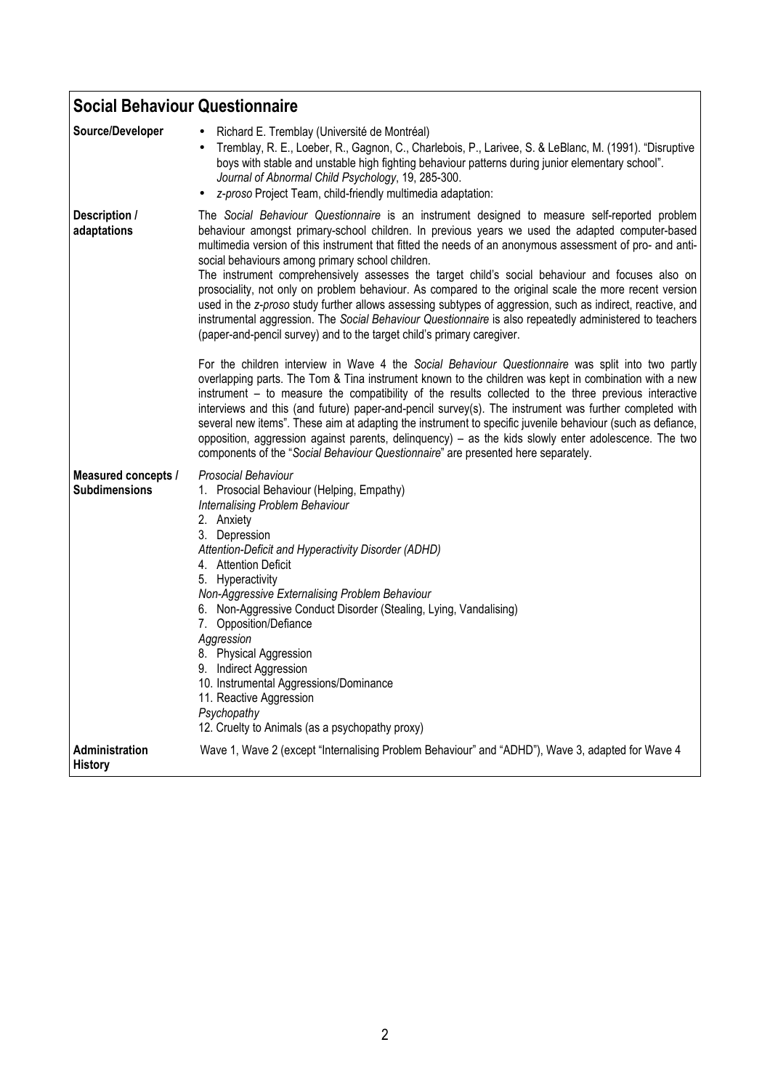| <b>Social Behaviour Questionnaire</b>              |                                                                                                                                                                                                                                                                                                                                                                                                                                                                                                                                                                                                                                                                                                                                                                                                                                                                                                                                                                                       |
|----------------------------------------------------|---------------------------------------------------------------------------------------------------------------------------------------------------------------------------------------------------------------------------------------------------------------------------------------------------------------------------------------------------------------------------------------------------------------------------------------------------------------------------------------------------------------------------------------------------------------------------------------------------------------------------------------------------------------------------------------------------------------------------------------------------------------------------------------------------------------------------------------------------------------------------------------------------------------------------------------------------------------------------------------|
| Source/Developer                                   | Richard E. Tremblay (Université de Montréal)<br>$\bullet$<br>Tremblay, R. E., Loeber, R., Gagnon, C., Charlebois, P., Larivee, S. & LeBlanc, M. (1991). "Disruptive<br>$\bullet$<br>boys with stable and unstable high fighting behaviour patterns during junior elementary school".<br>Journal of Abnormal Child Psychology, 19, 285-300.<br>z-proso Project Team, child-friendly multimedia adaptation:<br>$\bullet$                                                                                                                                                                                                                                                                                                                                                                                                                                                                                                                                                                |
| Description /<br>adaptations                       | The Social Behaviour Questionnaire is an instrument designed to measure self-reported problem<br>behaviour amongst primary-school children. In previous years we used the adapted computer-based<br>multimedia version of this instrument that fitted the needs of an anonymous assessment of pro- and anti-<br>social behaviours among primary school children.<br>The instrument comprehensively assesses the target child's social behaviour and focuses also on<br>prosociality, not only on problem behaviour. As compared to the original scale the more recent version<br>used in the z-proso study further allows assessing subtypes of aggression, such as indirect, reactive, and<br>instrumental aggression. The Social Behaviour Questionnaire is also repeatedly administered to teachers<br>(paper-and-pencil survey) and to the target child's primary caregiver.<br>For the children interview in Wave 4 the Social Behaviour Questionnaire was split into two partly |
|                                                    | overlapping parts. The Tom & Tina instrument known to the children was kept in combination with a new<br>instrument – to measure the compatibility of the results collected to the three previous interactive<br>interviews and this (and future) paper-and-pencil survey(s). The instrument was further completed with<br>several new items". These aim at adapting the instrument to specific juvenile behaviour (such as defiance,<br>opposition, aggression against parents, delinquency) - as the kids slowly enter adolescence. The two<br>components of the "Social Behaviour Questionnaire" are presented here separately.                                                                                                                                                                                                                                                                                                                                                    |
| <b>Measured concepts /</b><br><b>Subdimensions</b> | Prosocial Behaviour<br>1. Prosocial Behaviour (Helping, Empathy)<br>Internalising Problem Behaviour<br>2. Anxiety<br>3. Depression<br>Attention-Deficit and Hyperactivity Disorder (ADHD)<br>4. Attention Deficit<br>5. Hyperactivity<br>Non-Aggressive Externalising Problem Behaviour<br>6. Non-Aggressive Conduct Disorder (Stealing, Lying, Vandalising)<br>7. Opposition/Defiance<br>Aggression<br>8. Physical Aggression<br>9. Indirect Aggression<br>10. Instrumental Aggressions/Dominance<br>11. Reactive Aggression<br>Psychopathy<br>12. Cruelty to Animals (as a psychopathy proxy)                                                                                                                                                                                                                                                                                                                                                                                       |
| Administration<br>History                          | Wave 1, Wave 2 (except "Internalising Problem Behaviour" and "ADHD"), Wave 3, adapted for Wave 4                                                                                                                                                                                                                                                                                                                                                                                                                                                                                                                                                                                                                                                                                                                                                                                                                                                                                      |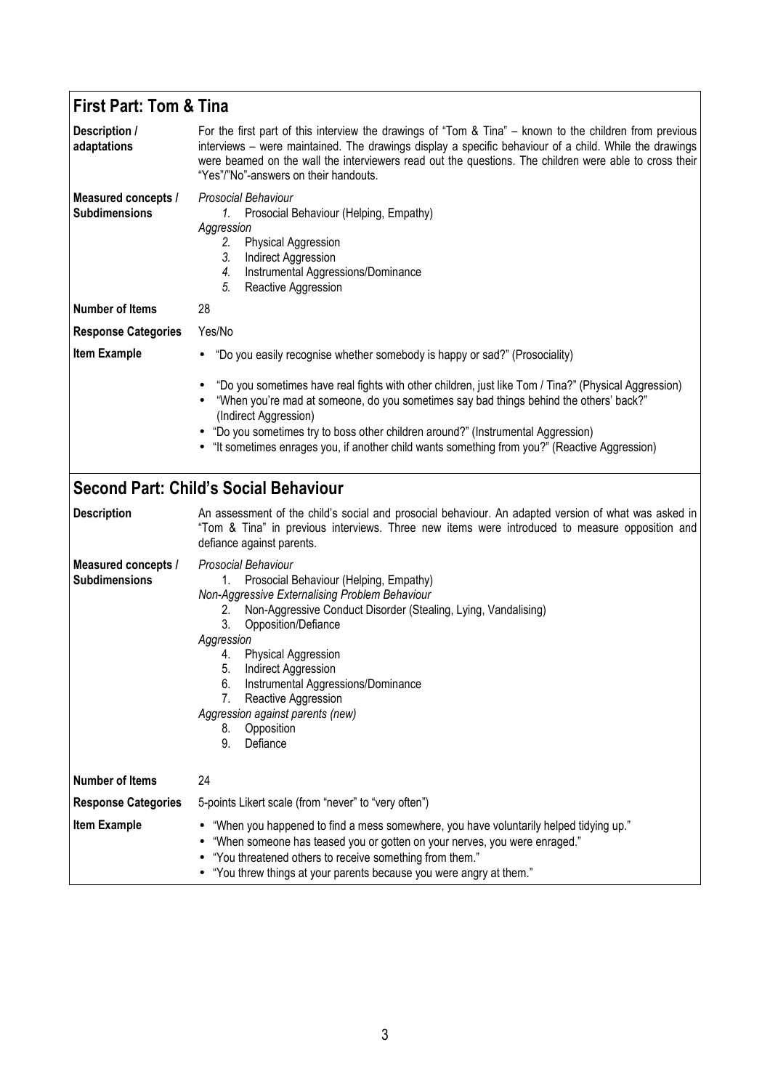#### **First Part: Tom & Tina Description / adaptations**  For the first part of this interview the drawings of "Tom & Tina" – known to the children from previous interviews – were maintained. The drawings display a specific behaviour of a child. While the drawings were beamed on the wall the interviewers read out the questions. The children were able to cross their "Yes"/"No"-answers on their handouts. **Measured concepts / Subdimensions**  *Prosocial Behaviour 1.* Prosocial Behaviour (Helping, Empathy) *Aggression 2.* Physical Aggression *3.* Indirect Aggression *4.* Instrumental Aggressions/Dominance **5.** Reactive Aggression **Number of Items** 28 **Response Categories** Yes/No **Item Example •** "Do you easily recognise whether somebody is happy or sad?" (Prosociality) • "Do you sometimes have real fights with other children, just like Tom / Tina?" (Physical Aggression) • "When you're mad at someone, do you sometimes say bad things behind the others' back?" (Indirect Aggression) • "Do you sometimes try to boss other children around?" (Instrumental Aggression) • "It sometimes enrages you, if another child wants something from you?" (Reactive Aggression) **Second Part: Child's Social Behaviour Description** An assessment of the child's social and prosocial behaviour. An adapted version of what was asked in "Tom & Tina" in previous interviews. Three new items were introduced to measure opposition and defiance against parents. **Measured concepts / Subdimensions**  *Prosocial Behaviour*  1. Prosocial Behaviour (Helping, Empathy) *Non-Aggressive Externalising Problem Behaviour* 2. Non-Aggressive Conduct Disorder (Stealing, Lying, Vandalising) 3. Opposition/Defiance *Aggression*  4. Physical Aggression 5. Indirect Aggression 6. Instrumental Aggressions/Dominance 7. Reactive Aggression *Aggression against parents (new)*  8. Opposition 9. Defiance **Number of Items** 24 **Response Categories** 5-points Likert scale (from "never" to "very often") **Item Example** • "When you happened to find a mess somewhere, you have voluntarily helped tidying up." • "When someone has teased you or gotten on your nerves, you were enraged." • "You threatened others to receive something from them." • "You threw things at your parents because you were angry at them."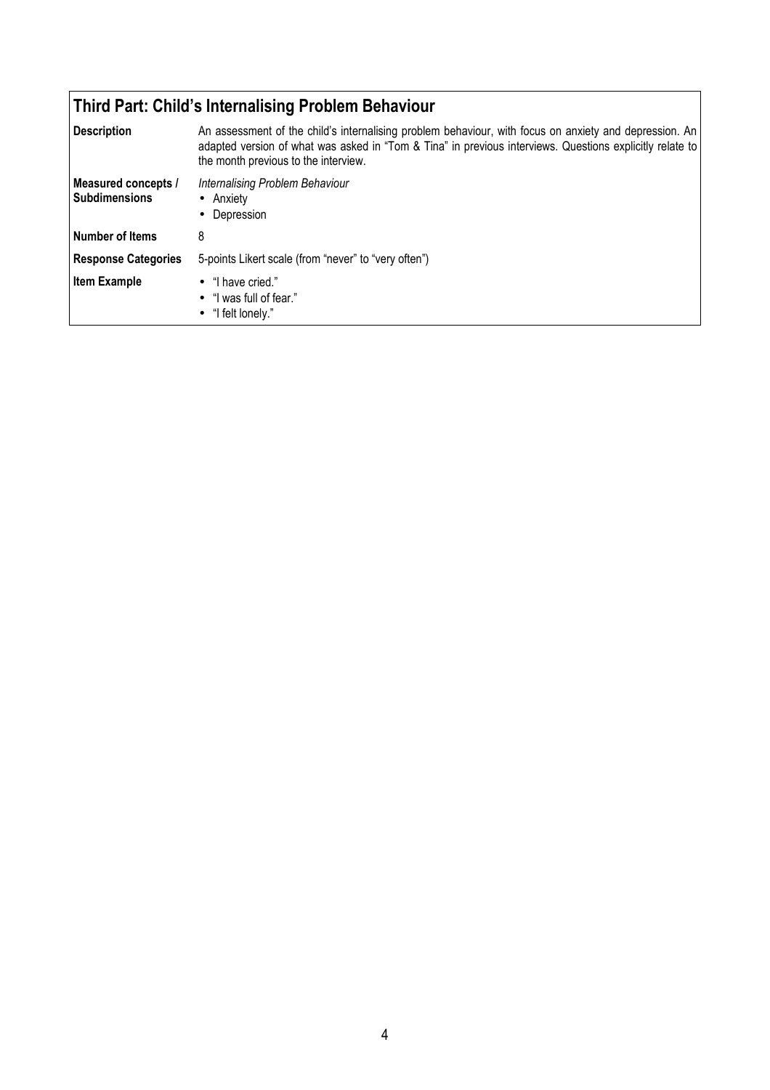## **Third Part: Child's Internalising Problem Behaviour**

| <b>Description</b>                          | An assessment of the child's internalising problem behaviour, with focus on anxiety and depression. An<br>adapted version of what was asked in "Tom & Tina" in previous interviews. Questions explicitly relate to<br>the month previous to the interview. |
|---------------------------------------------|------------------------------------------------------------------------------------------------------------------------------------------------------------------------------------------------------------------------------------------------------------|
| Measured concepts /<br><b>Subdimensions</b> | Internalising Problem Behaviour<br>• Anxiety<br>Depression<br>٠                                                                                                                                                                                            |
| <b>Number of Items</b>                      | 8                                                                                                                                                                                                                                                          |
| <b>Response Categories</b>                  | 5-points Likert scale (from "never" to "very often")                                                                                                                                                                                                       |
| <b>Item Example</b>                         | $\bullet$ "I have cried."<br>• "I was full of fear."<br>$\bullet$ "I felt lonely."                                                                                                                                                                         |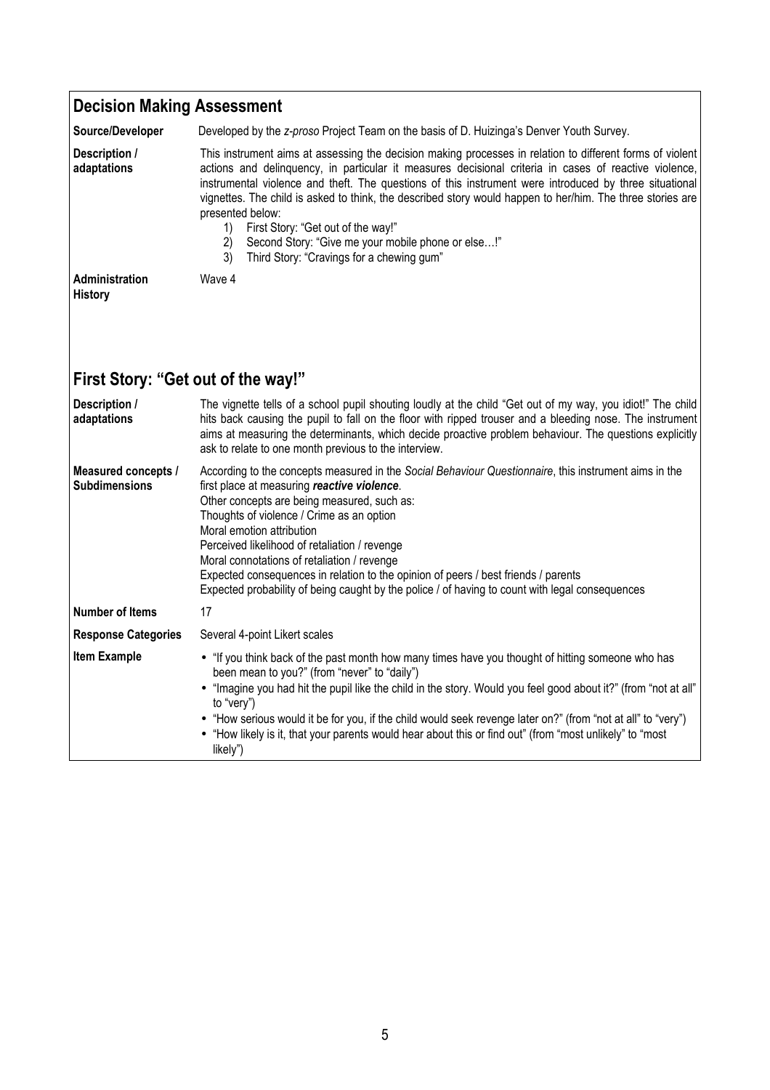| <b>Decision Making Assessment</b>           |                                                                                                                                                                                                                                                                                                                                                                                                                                                                                                                                                                                                                           |
|---------------------------------------------|---------------------------------------------------------------------------------------------------------------------------------------------------------------------------------------------------------------------------------------------------------------------------------------------------------------------------------------------------------------------------------------------------------------------------------------------------------------------------------------------------------------------------------------------------------------------------------------------------------------------------|
| Source/Developer                            | Developed by the z-proso Project Team on the basis of D. Huizinga's Denver Youth Survey.                                                                                                                                                                                                                                                                                                                                                                                                                                                                                                                                  |
| Description /<br>adaptations                | This instrument aims at assessing the decision making processes in relation to different forms of violent<br>actions and delinquency, in particular it measures decisional criteria in cases of reactive violence,<br>instrumental violence and theft. The questions of this instrument were introduced by three situational<br>vignettes. The child is asked to think, the described story would happen to her/him. The three stories are<br>presented below:<br>First Story: "Get out of the way!"<br>1)<br>2)<br>Second Story: "Give me your mobile phone or else!"<br>Third Story: "Cravings for a chewing gum"<br>3) |
| Administration<br><b>History</b>            | Wave 4                                                                                                                                                                                                                                                                                                                                                                                                                                                                                                                                                                                                                    |
| First Story: "Get out of the way!"          |                                                                                                                                                                                                                                                                                                                                                                                                                                                                                                                                                                                                                           |
| Description /<br>adaptations                | The vignette tells of a school pupil shouting loudly at the child "Get out of my way, you idiot!" The child<br>hits back causing the pupil to fall on the floor with ripped trouser and a bleeding nose. The instrument<br>aims at measuring the determinants, which decide proactive problem behaviour. The questions explicitly<br>ask to relate to one month previous to the interview.                                                                                                                                                                                                                                |
| Measured concepts /<br><b>Subdimensions</b> | According to the concepts measured in the Social Behaviour Questionnaire, this instrument aims in the<br>first place at measuring reactive violence.<br>Other concepts are being measured, such as:<br>Thoughts of violence / Crime as an option<br>Moral emotion attribution<br>Perceived likelihood of retaliation / revenge<br>Moral connotations of retaliation / revenge<br>Expected consequences in relation to the opinion of peers / best friends / parents<br>Expected probability of being caught by the police / of having to count with legal consequences                                                    |
| <b>Number of Items</b>                      | 17                                                                                                                                                                                                                                                                                                                                                                                                                                                                                                                                                                                                                        |
| <b>Response Categories</b>                  | Several 4-point Likert scales                                                                                                                                                                                                                                                                                                                                                                                                                                                                                                                                                                                             |
| <b>Item Example</b>                         | • "If you think back of the past month how many times have you thought of hitting someone who has<br>been mean to you?" (from "never" to "daily")<br>"Imagine you had hit the pupil like the child in the story. Would you feel good about it?" (from "not at all"<br>to "very")<br>"How serious would it be for you, if the child would seek revenge later on?" (from "not at all" to "very")<br>"How likely is it, that your parents would hear about this or find out" (from "most unlikely" to "most<br>likely")                                                                                                      |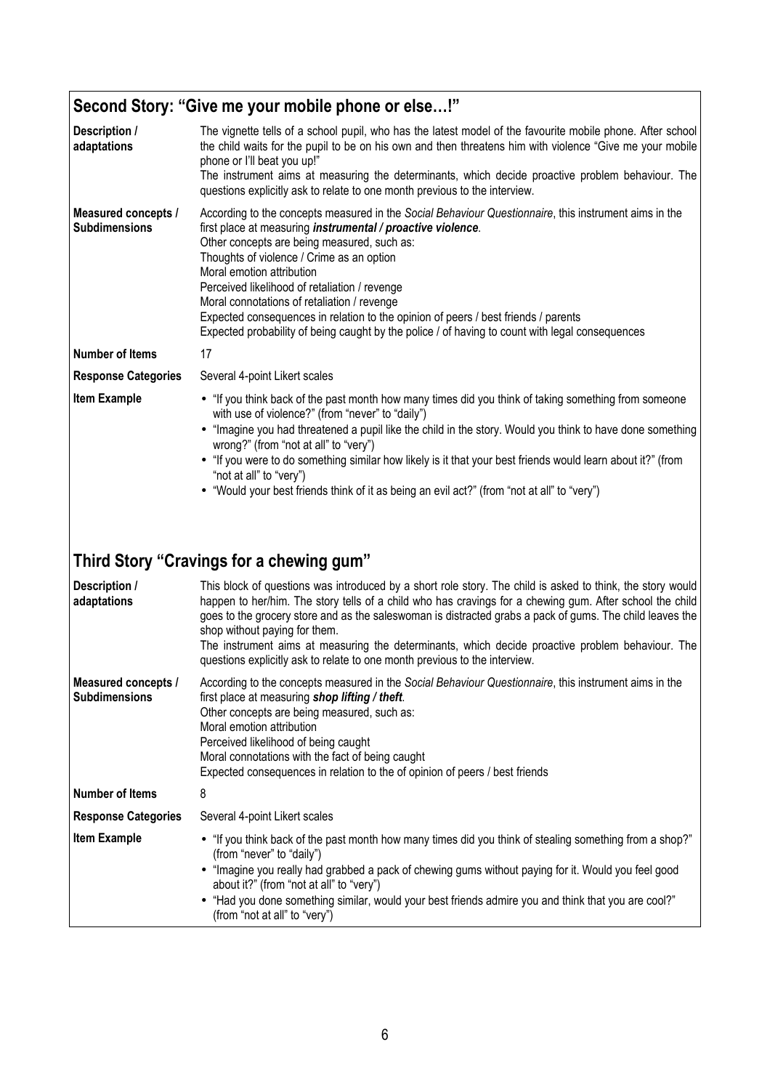## **Second Story: "Give me your mobile phone or else…!"**

| Description /<br>adaptations                | The vignette tells of a school pupil, who has the latest model of the favourite mobile phone. After school<br>the child waits for the pupil to be on his own and then threatens him with violence "Give me your mobile<br>phone or I'll beat you up!"<br>The instrument aims at measuring the determinants, which decide proactive problem behaviour. The<br>questions explicitly ask to relate to one month previous to the interview.                                                                                                                                                |
|---------------------------------------------|----------------------------------------------------------------------------------------------------------------------------------------------------------------------------------------------------------------------------------------------------------------------------------------------------------------------------------------------------------------------------------------------------------------------------------------------------------------------------------------------------------------------------------------------------------------------------------------|
| Measured concepts /<br><b>Subdimensions</b> | According to the concepts measured in the Social Behaviour Questionnaire, this instrument aims in the<br>first place at measuring instrumental / proactive violence.<br>Other concepts are being measured, such as:<br>Thoughts of violence / Crime as an option<br>Moral emotion attribution<br>Perceived likelihood of retaliation / revenge<br>Moral connotations of retaliation / revenge<br>Expected consequences in relation to the opinion of peers / best friends / parents<br>Expected probability of being caught by the police / of having to count with legal consequences |
| <b>Number of Items</b>                      | 17                                                                                                                                                                                                                                                                                                                                                                                                                                                                                                                                                                                     |
| <b>Response Categories</b>                  | Several 4-point Likert scales                                                                                                                                                                                                                                                                                                                                                                                                                                                                                                                                                          |
| <b>Item Example</b>                         | • "If you think back of the past month how many times did you think of taking something from someone<br>with use of violence?" (from "never" to "daily")<br>• "Imagine you had threatened a pupil like the child in the story. Would you think to have done something<br>wrong?" (from "not at all" to "very")<br>• "If you were to do something similar how likely is it that your best friends would learn about it?" (from<br>"not at all" to "very")<br>• "Would your best friends think of it as being an evil act?" (from "not at all" to "very")                                |
|                                             | Third Story "Cravings for a chewing gum"                                                                                                                                                                                                                                                                                                                                                                                                                                                                                                                                               |
| Description /<br>adaptations                | This block of questions was introduced by a short role story. The child is asked to think, the story would<br>happen to her/him. The story tells of a child who has cravings for a chewing gum. After school the child<br>goes to the grocery store and as the saleswoman is distracted grabs a pack of gums. The child leaves the<br>shop without paying for them.<br>The instrument aims at measuring the determinants, which decide proactive problem behaviour. The<br>questions explicitly ask to relate to one month previous to the interview.                                  |
| Measured concepts /<br><b>Subdimensions</b> | According to the concepts measured in the Social Behaviour Questionnaire, this instrument aims in the<br>first place at measuring shop lifting / theft.<br>Other concepts are being measured, such as:<br>Moral emotion attribution<br>Perceived likelihood of being caught<br>Moral connotations with the fact of being caught<br>Expected consequences in relation to the of opinion of peers / best friends                                                                                                                                                                         |
| <b>Number of Items</b>                      | 8                                                                                                                                                                                                                                                                                                                                                                                                                                                                                                                                                                                      |
| <b>Response Categories</b>                  | Several 4-point Likert scales                                                                                                                                                                                                                                                                                                                                                                                                                                                                                                                                                          |
| <b>Item Example</b>                         | • "If you think back of the past month how many times did you think of stealing something from a shop?"<br>(from "never" to "daily")<br>• "Imagine you really had grabbed a pack of chewing gums without paying for it. Would you feel good<br>about it?" (from "not at all" to "very")<br>• "Had you done something similar, would your best friends admire you and think that you are cool?"<br>(from "not at all" to "very")                                                                                                                                                        |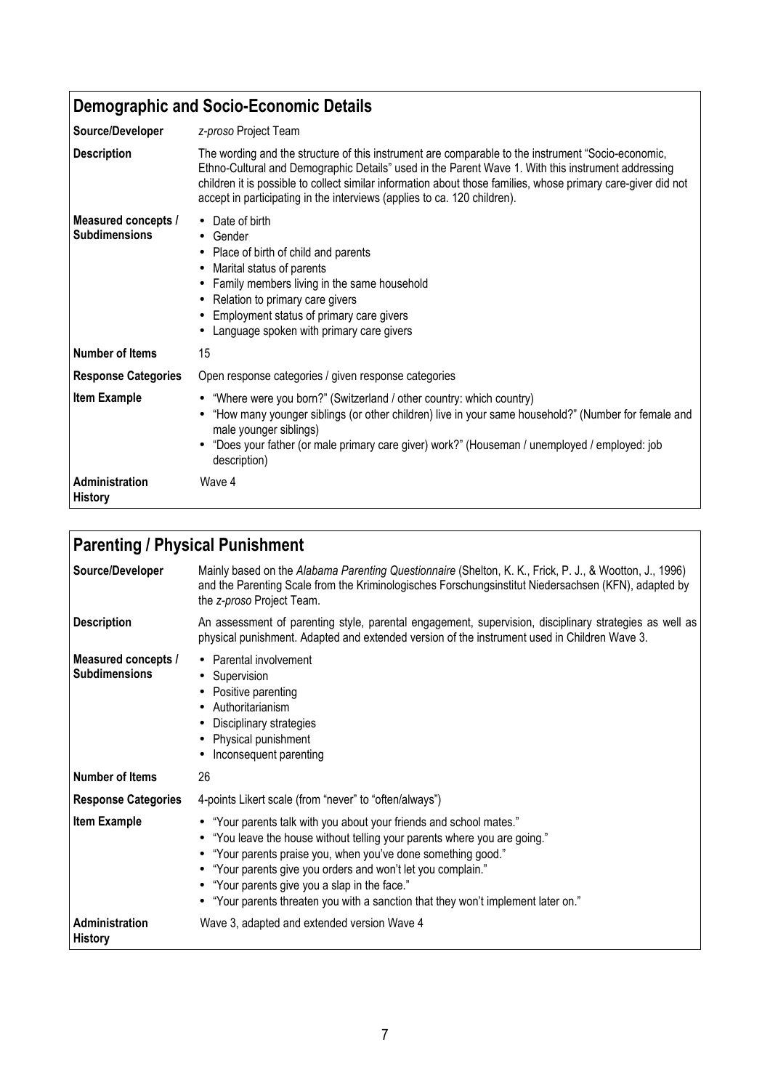### **Demographic and Socio-Economic Details**

| Source/Developer                            | z-proso Project Team                                                                                                                                                                                                                                                                                                                                                                                  |
|---------------------------------------------|-------------------------------------------------------------------------------------------------------------------------------------------------------------------------------------------------------------------------------------------------------------------------------------------------------------------------------------------------------------------------------------------------------|
| <b>Description</b>                          | The wording and the structure of this instrument are comparable to the instrument "Socio-economic,<br>Ethno-Cultural and Demographic Details" used in the Parent Wave 1. With this instrument addressing<br>children it is possible to collect similar information about those families, whose primary care-giver did not<br>accept in participating in the interviews (applies to ca. 120 children). |
| Measured concepts /<br><b>Subdimensions</b> | • Date of birth<br>$\bullet$ Gender<br>Place of birth of child and parents<br>$\bullet$<br>Marital status of parents<br>$\bullet$<br>Family members living in the same household<br>Relation to primary care givers<br>$\bullet$<br>Employment status of primary care givers<br>Language spoken with primary care givers                                                                              |
| <b>Number of Items</b>                      | 15                                                                                                                                                                                                                                                                                                                                                                                                    |
| <b>Response Categories</b>                  | Open response categories / given response categories                                                                                                                                                                                                                                                                                                                                                  |
| <b>Item Example</b>                         | • "Where were you born?" (Switzerland / other country: which country)<br>"How many younger siblings (or other children) live in your same household?" (Number for female and<br>male younger siblings)<br>"Does your father (or male primary care giver) work?" (Houseman / unemployed / employed: job<br>description)                                                                                |
| Administration<br><b>History</b>            | Wave 4                                                                                                                                                                                                                                                                                                                                                                                                |

| <b>Parenting / Physical Punishment</b>             |                                                                                                                                                                                                                                                                                                                                                                                                                         |
|----------------------------------------------------|-------------------------------------------------------------------------------------------------------------------------------------------------------------------------------------------------------------------------------------------------------------------------------------------------------------------------------------------------------------------------------------------------------------------------|
| Source/Developer                                   | Mainly based on the Alabama Parenting Questionnaire (Shelton, K. K., Frick, P. J., & Wootton, J., 1996)<br>and the Parenting Scale from the Kriminologisches Forschungsinstitut Niedersachsen (KFN), adapted by<br>the z-proso Project Team.                                                                                                                                                                            |
| <b>Description</b>                                 | An assessment of parenting style, parental engagement, supervision, disciplinary strategies as well as<br>physical punishment. Adapted and extended version of the instrument used in Children Wave 3.                                                                                                                                                                                                                  |
| <b>Measured concepts /</b><br><b>Subdimensions</b> | Parental involvement<br>$\bullet$<br>Supervision<br>Positive parenting<br>Authoritarianism<br>Disciplinary strategies<br>Physical punishment<br>Inconsequent parenting                                                                                                                                                                                                                                                  |
| <b>Number of Items</b>                             | 26                                                                                                                                                                                                                                                                                                                                                                                                                      |
| <b>Response Categories</b>                         | 4-points Likert scale (from "never" to "often/always")                                                                                                                                                                                                                                                                                                                                                                  |
| <b>Item Example</b>                                | • "Your parents talk with you about your friends and school mates."<br>• "You leave the house without telling your parents where you are going."<br>• "Your parents praise you, when you've done something good."<br>• "Your parents give you orders and won't let you complain."<br>• "Your parents give you a slap in the face."<br>• "Your parents threaten you with a sanction that they won't implement later on." |
| Administration<br><b>History</b>                   | Wave 3, adapted and extended version Wave 4                                                                                                                                                                                                                                                                                                                                                                             |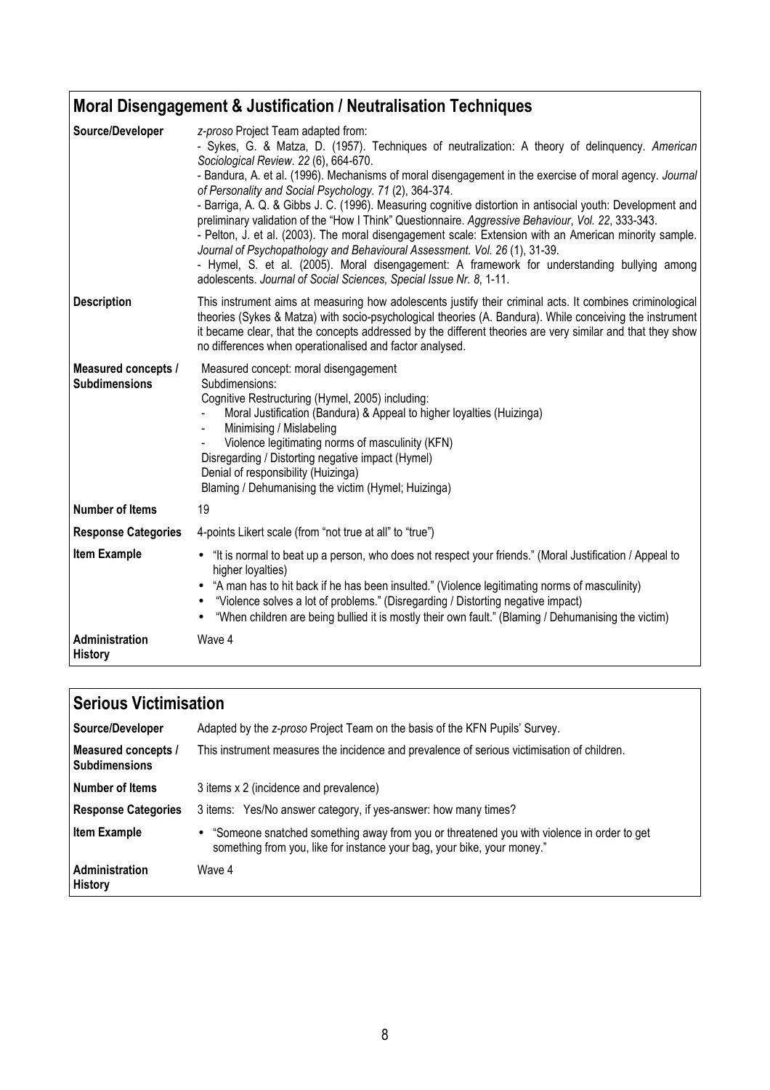#### **Moral Disengagement & Justification / Neutralisation Techniques Source/Developer** *z-proso* Project Team adapted from: - Sykes, G. & Matza, D. (1957). Techniques of neutralization: A theory of delinquency. *American Sociological Review*. *22* (6), 664-670. - Bandura, A. et al. (1996). Mechanisms of moral disengagement in the exercise of moral agency. *Journal of Personality and Social Psychology. 71* (2), 364-374. - Barriga, A. Q. & Gibbs J. C. (1996). Measuring cognitive distortion in antisocial youth: Development and preliminary validation of the "How I Think" Questionnaire. *Aggressive Behaviour*, *Vol. 22*, 333-343. - Pelton, J. et al. (2003). The moral disengagement scale: Extension with an American minority sample. *Journal of Psychopathology and Behavioural Assessment. Vol. 26* (1), 31-39. - Hymel, S. et al. (2005). Moral disengagement: A framework for understanding bullying among adolescents. *Journal of Social Sciences, Special Issue Nr. 8*, 1-11. **Description** This instrument aims at measuring how adolescents justify their criminal acts. It combines criminological theories (Sykes & Matza) with socio-psychological theories (A. Bandura). While conceiving the instrument it became clear, that the concepts addressed by the different theories are very similar and that they show no differences when operationalised and factor analysed. **Measured concepts / Subdimensions**  Measured concept: moral disengagement Subdimensions: Cognitive Restructuring (Hymel, 2005) including: - Moral Justification (Bandura) & Appeal to higher loyalties (Huizinga) Minimising / Mislabeling - Violence legitimating norms of masculinity (KFN) Disregarding / Distorting negative impact (Hymel) Denial of responsibility (Huizinga) Blaming / Dehumanising the victim (Hymel; Huizinga) **Number of Items** 19 **Response Categories** 4-points Likert scale (from "not true at all" to "true") **Item Example** • "It is normal to beat up a person, who does not respect your friends." (Moral Justification / Appeal to higher loyalties) • "A man has to hit back if he has been insulted." (Violence legitimating norms of masculinity) • "Violence solves a lot of problems." (Disregarding / Distorting negative impact) • "When children are being bullied it is mostly their own fault." (Blaming / Dehumanising the victim) **Administration History**  Wave 4

| <b>Serious Victimisation</b>                |                                                                                                                                                                        |  |
|---------------------------------------------|------------------------------------------------------------------------------------------------------------------------------------------------------------------------|--|
| Source/Developer                            | Adapted by the z-proso Project Team on the basis of the KFN Pupils' Survey.                                                                                            |  |
| Measured concepts /<br><b>Subdimensions</b> | This instrument measures the incidence and prevalence of serious victimisation of children.                                                                            |  |
| l Number of Items                           | 3 items x 2 (incidence and prevalence)                                                                                                                                 |  |
| <b>Response Categories</b>                  | 3 items: Yes/No answer category, if yes-answer: how many times?                                                                                                        |  |
| <b>Item Example</b>                         | • "Someone snatched something away from you or threatened you with violence in order to get<br>something from you, like for instance your bag, your bike, your money." |  |
| Administration<br><b>History</b>            | Wave 4                                                                                                                                                                 |  |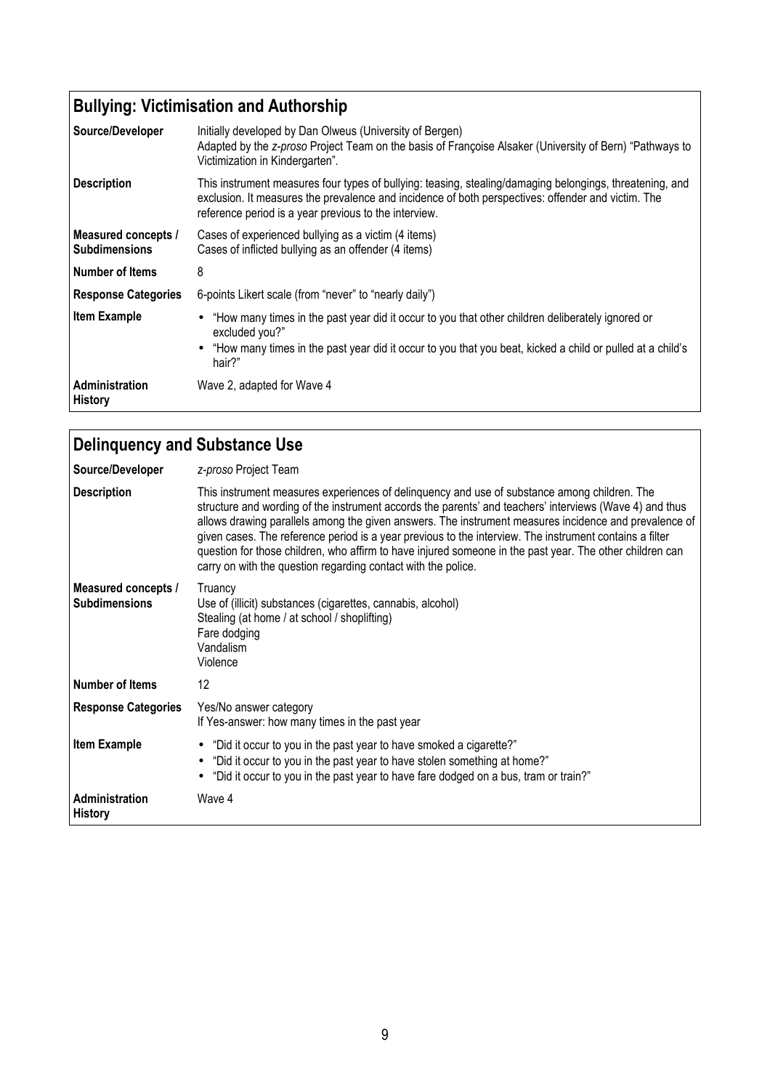# **Bullying: Victimisation and Authorship**

| Source/Developer                            | Initially developed by Dan Olweus (University of Bergen)<br>Adapted by the z-proso Project Team on the basis of Françoise Alsaker (University of Bern) "Pathways to<br>Victimization in Kindergarten".                                                                  |
|---------------------------------------------|-------------------------------------------------------------------------------------------------------------------------------------------------------------------------------------------------------------------------------------------------------------------------|
| <b>Description</b>                          | This instrument measures four types of bullying: teasing, stealing/damaging belongings, threatening, and<br>exclusion. It measures the prevalence and incidence of both perspectives: offender and victim. The<br>reference period is a year previous to the interview. |
| Measured concepts /<br><b>Subdimensions</b> | Cases of experienced bullying as a victim (4 items)<br>Cases of inflicted bullying as an offender (4 items)                                                                                                                                                             |
| Number of Items                             | 8                                                                                                                                                                                                                                                                       |
| <b>Response Categories</b>                  | 6-points Likert scale (from "never" to "nearly daily")                                                                                                                                                                                                                  |
| <b>Item Example</b>                         | "How many times in the past year did it occur to you that other children deliberately ignored or<br>excluded you?"<br>• "How many times in the past year did it occur to you that you beat, kicked a child or pulled at a child's<br>hair?"                             |
| Administration<br><b>History</b>            | Wave 2, adapted for Wave 4                                                                                                                                                                                                                                              |

| Delinquency and Substance Use               |                                                                                                                                                                                                                                                                                                                                                                                                                                                                                                                                                                                                          |
|---------------------------------------------|----------------------------------------------------------------------------------------------------------------------------------------------------------------------------------------------------------------------------------------------------------------------------------------------------------------------------------------------------------------------------------------------------------------------------------------------------------------------------------------------------------------------------------------------------------------------------------------------------------|
| Source/Developer                            | z-proso Project Team                                                                                                                                                                                                                                                                                                                                                                                                                                                                                                                                                                                     |
| <b>Description</b>                          | This instrument measures experiences of delinquency and use of substance among children. The<br>structure and wording of the instrument accords the parents' and teachers' interviews (Wave 4) and thus<br>allows drawing parallels among the given answers. The instrument measures incidence and prevalence of<br>given cases. The reference period is a year previous to the interview. The instrument contains a filter<br>question for those children, who affirm to have injured someone in the past year. The other children can<br>carry on with the question regarding contact with the police. |
| Measured concepts /<br><b>Subdimensions</b> | Truancy<br>Use of (illicit) substances (cigarettes, cannabis, alcohol)<br>Stealing (at home / at school / shoplifting)<br>Fare dodging<br>Vandalism<br>Violence                                                                                                                                                                                                                                                                                                                                                                                                                                          |
| Number of Items                             | 12                                                                                                                                                                                                                                                                                                                                                                                                                                                                                                                                                                                                       |
| <b>Response Categories</b>                  | Yes/No answer category<br>If Yes-answer: how many times in the past year                                                                                                                                                                                                                                                                                                                                                                                                                                                                                                                                 |
| <b>Item Example</b>                         | "Did it occur to you in the past year to have smoked a cigarette?"<br>$\bullet$<br>"Did it occur to you in the past year to have stolen something at home?"<br>"Did it occur to you in the past year to have fare dodged on a bus, tram or train?"                                                                                                                                                                                                                                                                                                                                                       |
| Administration<br><b>History</b>            | Wave 4                                                                                                                                                                                                                                                                                                                                                                                                                                                                                                                                                                                                   |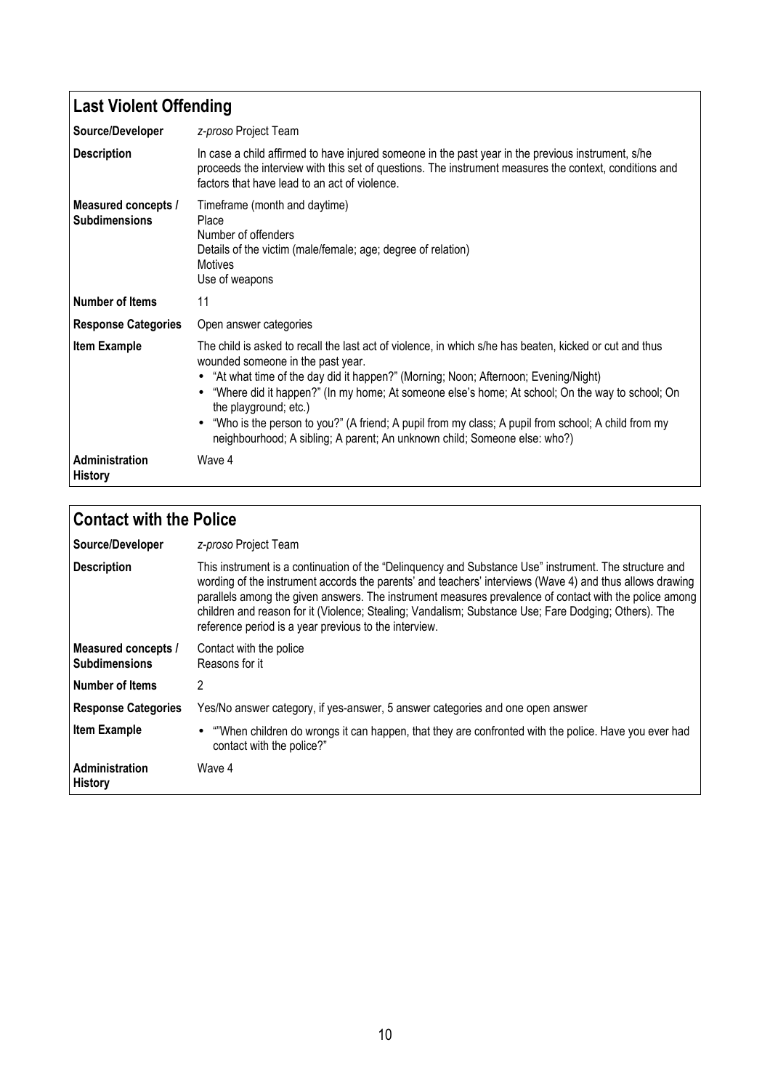## **Last Violent Offending**

| Source/Developer                            | z-proso Project Team                                                                                                                                                                                                                                                                                                                                                                                                                                                                                                                                |
|---------------------------------------------|-----------------------------------------------------------------------------------------------------------------------------------------------------------------------------------------------------------------------------------------------------------------------------------------------------------------------------------------------------------------------------------------------------------------------------------------------------------------------------------------------------------------------------------------------------|
| <b>Description</b>                          | In case a child affirmed to have injured someone in the past year in the previous instrument, s/he<br>proceeds the interview with this set of questions. The instrument measures the context, conditions and<br>factors that have lead to an act of violence.                                                                                                                                                                                                                                                                                       |
| Measured concepts /<br><b>Subdimensions</b> | Timeframe (month and daytime)<br>Place<br>Number of offenders<br>Details of the victim (male/female; age; degree of relation)<br>Motives<br>Use of weapons                                                                                                                                                                                                                                                                                                                                                                                          |
| <b>Number of Items</b>                      | 11                                                                                                                                                                                                                                                                                                                                                                                                                                                                                                                                                  |
| <b>Response Categories</b>                  | Open answer categories                                                                                                                                                                                                                                                                                                                                                                                                                                                                                                                              |
| <b>Item Example</b>                         | The child is asked to recall the last act of violence, in which s/he has beaten, kicked or cut and thus<br>wounded someone in the past year.<br>"At what time of the day did it happen?" (Morning; Noon; Afternoon; Evening/Night)<br>"Where did it happen?" (In my home; At someone else's home; At school; On the way to school; On<br>the playground; etc.)<br>• "Who is the person to you?" (A friend; A pupil from my class; A pupil from school; A child from my<br>neighbourhood; A sibling; A parent; An unknown child; Someone else: who?) |
| Administration<br><b>History</b>            | Wave 4                                                                                                                                                                                                                                                                                                                                                                                                                                                                                                                                              |

| <b>Contact with the Police</b>              |                                                                                                                                                                                                                                                                                                                                                                                                                                                                                               |
|---------------------------------------------|-----------------------------------------------------------------------------------------------------------------------------------------------------------------------------------------------------------------------------------------------------------------------------------------------------------------------------------------------------------------------------------------------------------------------------------------------------------------------------------------------|
| Source/Developer                            | z-proso Project Team                                                                                                                                                                                                                                                                                                                                                                                                                                                                          |
| Description                                 | This instrument is a continuation of the "Delinguency and Substance Use" instrument. The structure and<br>wording of the instrument accords the parents' and teachers' interviews (Wave 4) and thus allows drawing<br>parallels among the given answers. The instrument measures prevalence of contact with the police among<br>children and reason for it (Violence; Stealing; Vandalism; Substance Use; Fare Dodging; Others). The<br>reference period is a year previous to the interview. |
| Measured concepts /<br><b>Subdimensions</b> | Contact with the police<br>Reasons for it                                                                                                                                                                                                                                                                                                                                                                                                                                                     |
| l Number of Items                           | 2                                                                                                                                                                                                                                                                                                                                                                                                                                                                                             |
| <b>Response Categories</b>                  | Yes/No answer category, if yes-answer, 5 answer categories and one open answer                                                                                                                                                                                                                                                                                                                                                                                                                |
| <b>Item Example</b>                         | • ""When children do wrongs it can happen, that they are confronted with the police. Have you ever had<br>contact with the police?"                                                                                                                                                                                                                                                                                                                                                           |
| Administration<br><b>History</b>            | Wave 4                                                                                                                                                                                                                                                                                                                                                                                                                                                                                        |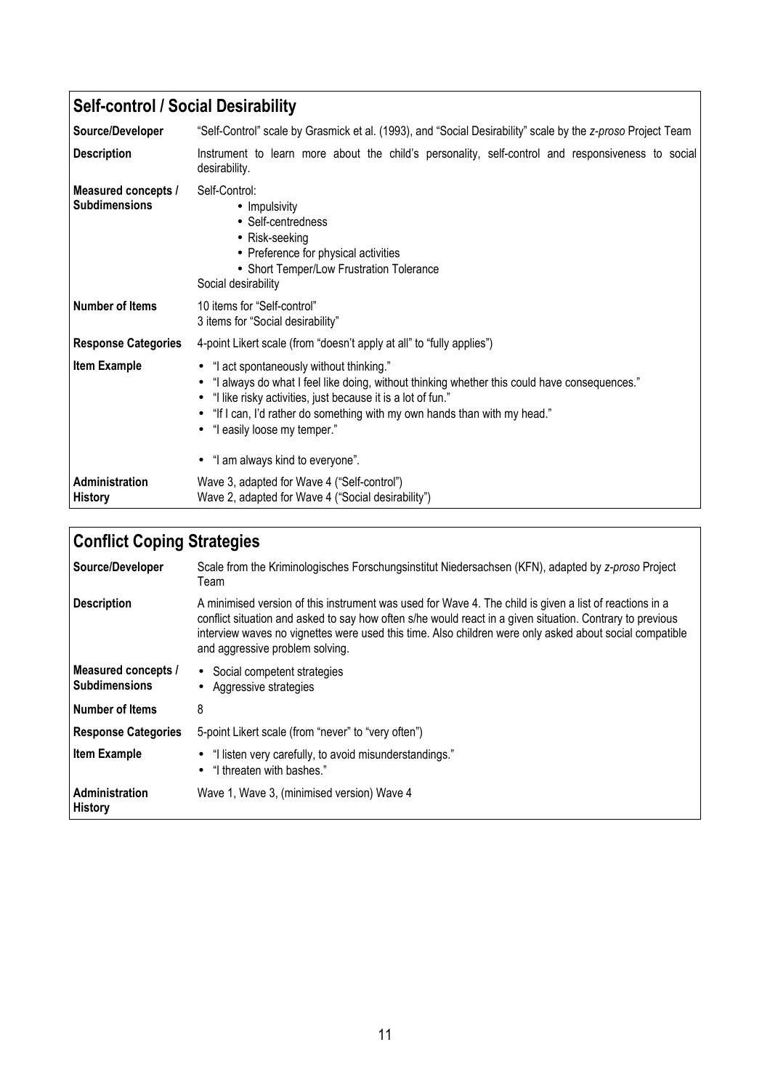| <b>Self-control / Social Desirability</b>   |                                                                                                                                                                                                                                                                                                                     |
|---------------------------------------------|---------------------------------------------------------------------------------------------------------------------------------------------------------------------------------------------------------------------------------------------------------------------------------------------------------------------|
| Source/Developer                            | "Self-Control" scale by Grasmick et al. (1993), and "Social Desirability" scale by the z-proso Project Team                                                                                                                                                                                                         |
| <b>Description</b>                          | Instrument to learn more about the child's personality, self-control and responsiveness to social<br>desirability.                                                                                                                                                                                                  |
| Measured concepts /<br><b>Subdimensions</b> | Self-Control:<br>• Impulsivity<br>• Self-centredness<br>• Risk-seeking<br>• Preference for physical activities<br>• Short Temper/Low Frustration Tolerance<br>Social desirability                                                                                                                                   |
| Number of Items                             | 10 items for "Self-control"<br>3 items for "Social desirability"                                                                                                                                                                                                                                                    |
| <b>Response Categories</b>                  | 4-point Likert scale (from "doesn't apply at all" to "fully applies")                                                                                                                                                                                                                                               |
| <b>Item Example</b>                         | • "I act spontaneously without thinking."<br>"I always do what I feel like doing, without thinking whether this could have consequences."<br>"I like risky activities, just because it is a lot of fun."<br>"If I can, I'd rather do something with my own hands than with my head."<br>"I easily loose my temper." |
|                                             | • "I am always kind to everyone".                                                                                                                                                                                                                                                                                   |
| Administration<br><b>History</b>            | Wave 3, adapted for Wave 4 ("Self-control")<br>Wave 2, adapted for Wave 4 ("Social desirability")                                                                                                                                                                                                                   |

| <b>Conflict Coping Strategies</b>           |                                                                                                                                                                                                                                                                                                                                                                    |
|---------------------------------------------|--------------------------------------------------------------------------------------------------------------------------------------------------------------------------------------------------------------------------------------------------------------------------------------------------------------------------------------------------------------------|
| Source/Developer                            | Scale from the Kriminologisches Forschungsinstitut Niedersachsen (KFN), adapted by z-proso Project<br>Team                                                                                                                                                                                                                                                         |
| <b>Description</b>                          | A minimised version of this instrument was used for Wave 4. The child is given a list of reactions in a<br>conflict situation and asked to say how often s/he would react in a given situation. Contrary to previous<br>interview waves no vignettes were used this time. Also children were only asked about social compatible<br>and aggressive problem solving. |
| Measured concepts /<br><b>Subdimensions</b> | • Social competent strategies<br>Aggressive strategies                                                                                                                                                                                                                                                                                                             |
| Number of Items                             | 8                                                                                                                                                                                                                                                                                                                                                                  |
| <b>Response Categories</b>                  | 5-point Likert scale (from "never" to "very often")                                                                                                                                                                                                                                                                                                                |
| <b>Item Example</b>                         | • "I listen very carefully, to avoid misunderstandings."<br>"I threaten with bashes."<br>$\bullet$                                                                                                                                                                                                                                                                 |
| Administration<br><b>History</b>            | Wave 1, Wave 3, (minimised version) Wave 4                                                                                                                                                                                                                                                                                                                         |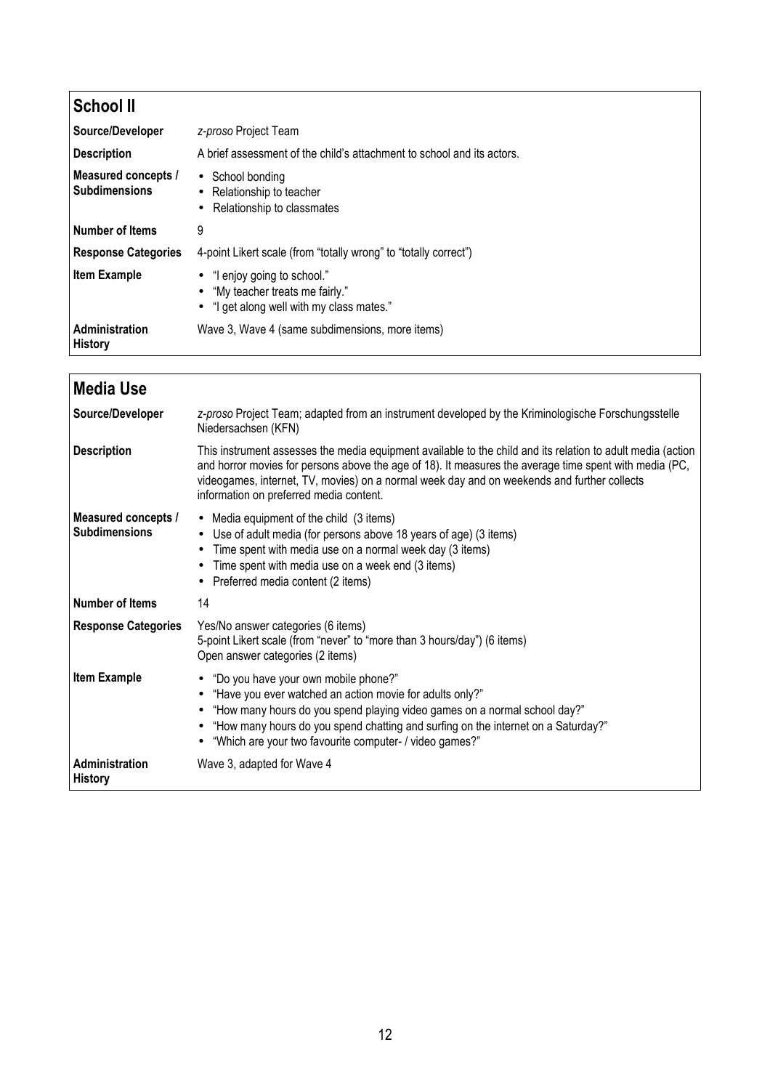| <b>School II</b>                            |                                                                                                                          |
|---------------------------------------------|--------------------------------------------------------------------------------------------------------------------------|
| Source/Developer                            | z-proso Project Team                                                                                                     |
| <b>Description</b>                          | A brief assessment of the child's attachment to school and its actors.                                                   |
| Measured concepts /<br><b>Subdimensions</b> | • School bonding<br>• Relationship to teacher<br>Relationship to classmates<br>٠                                         |
| <b>Number of Items</b>                      | 9                                                                                                                        |
| <b>Response Categories</b>                  | 4-point Likert scale (from "totally wrong" to "totally correct")                                                         |
| <b>Item Example</b>                         | "I enjoy going to school."<br>$\bullet$<br>• "My teacher treats me fairly."<br>• "I get along well with my class mates." |
| Administration<br><b>History</b>            | Wave 3, Wave 4 (same subdimensions, more items)                                                                          |

| <b>Media Use</b>                            |                                                                                                                                                                                                                                                                                                                                                                 |
|---------------------------------------------|-----------------------------------------------------------------------------------------------------------------------------------------------------------------------------------------------------------------------------------------------------------------------------------------------------------------------------------------------------------------|
| Source/Developer                            | z-proso Project Team; adapted from an instrument developed by the Kriminologische Forschungsstelle<br>Niedersachsen (KFN)                                                                                                                                                                                                                                       |
| <b>Description</b>                          | This instrument assesses the media equipment available to the child and its relation to adult media (action<br>and horror movies for persons above the age of 18). It measures the average time spent with media (PC,<br>videogames, internet, TV, movies) on a normal week day and on weekends and further collects<br>information on preferred media content. |
| Measured concepts /<br><b>Subdimensions</b> | • Media equipment of the child (3 items)<br>Use of adult media (for persons above 18 years of age) (3 items)<br>$\bullet$<br>Time spent with media use on a normal week day (3 items)<br>Time spent with media use on a week end (3 items)<br>Preferred media content (2 items)                                                                                 |
| <b>Number of Items</b>                      | 14                                                                                                                                                                                                                                                                                                                                                              |
| <b>Response Categories</b>                  | Yes/No answer categories (6 items)<br>5-point Likert scale (from "never" to "more than 3 hours/day") (6 items)<br>Open answer categories (2 items)                                                                                                                                                                                                              |
| <b>Item Example</b>                         | • "Do you have your own mobile phone?"<br>"Have you ever watched an action movie for adults only?"<br>"How many hours do you spend playing video games on a normal school day?"<br>"How many hours do you spend chatting and surfing on the internet on a Saturday?"<br>• "Which are your two favourite computer- / video games?"                               |
| Administration<br><b>History</b>            | Wave 3, adapted for Wave 4                                                                                                                                                                                                                                                                                                                                      |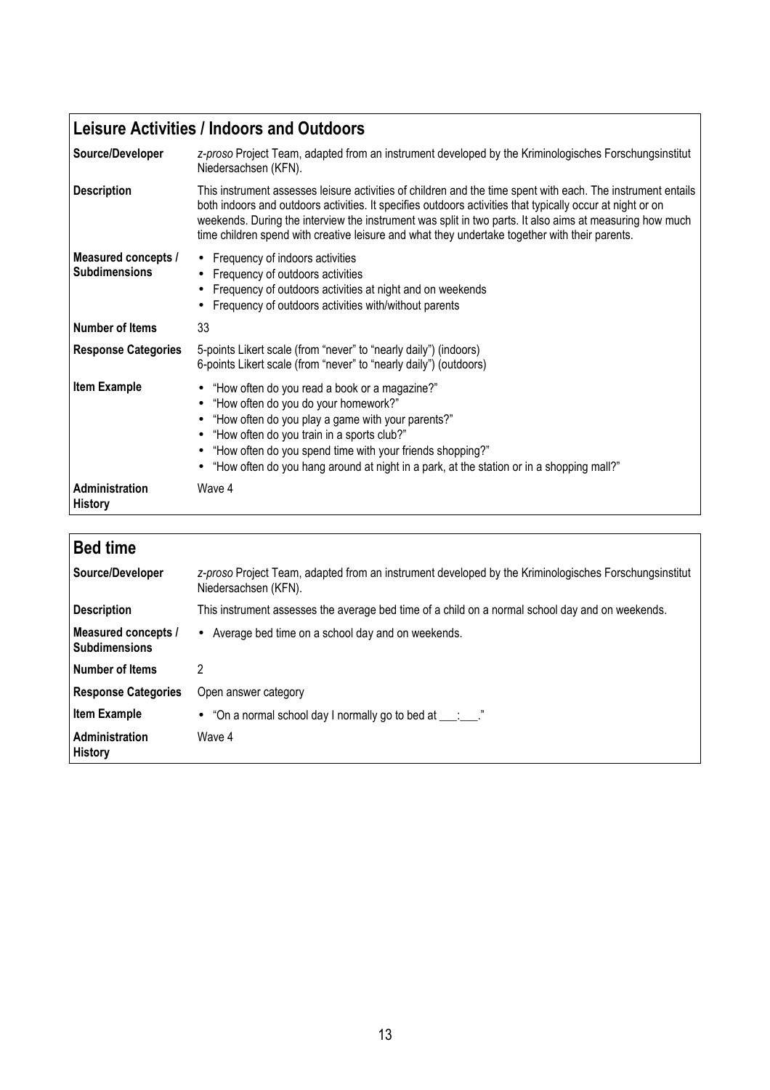## **Leisure Activities / Indoors and Outdoors**

| Source/Developer                            | z-proso Project Team, adapted from an instrument developed by the Kriminologisches Forschungsinstitut<br>Niedersachsen (KFN).                                                                                                                                                                                                                                                                                                            |
|---------------------------------------------|------------------------------------------------------------------------------------------------------------------------------------------------------------------------------------------------------------------------------------------------------------------------------------------------------------------------------------------------------------------------------------------------------------------------------------------|
| <b>Description</b>                          | This instrument assesses leisure activities of children and the time spent with each. The instrument entails<br>both indoors and outdoors activities. It specifies outdoors activities that typically occur at night or on<br>weekends. During the interview the instrument was split in two parts. It also aims at measuring how much<br>time children spend with creative leisure and what they undertake together with their parents. |
| Measured concepts /<br><b>Subdimensions</b> | • Frequency of indoors activities<br>Frequency of outdoors activities<br>Frequency of outdoors activities at night and on weekends<br>Frequency of outdoors activities with/without parents                                                                                                                                                                                                                                              |
| <b>Number of Items</b>                      | 33                                                                                                                                                                                                                                                                                                                                                                                                                                       |
| <b>Response Categories</b>                  | 5-points Likert scale (from "never" to "nearly daily") (indoors)<br>6-points Likert scale (from "never" to "nearly daily") (outdoors)                                                                                                                                                                                                                                                                                                    |
| <b>Item Example</b>                         | • "How often do you read a book or a magazine?"<br>"How often do you do your homework?"<br>$\bullet$<br>"How often do you play a game with your parents?"<br>"How often do you train in a sports club?"<br>$\bullet$<br>"How often do you spend time with your friends shopping?"<br>$\bullet$<br>• "How often do you hang around at night in a park, at the station or in a shopping mall?"                                             |
| <b>Administration</b><br><b>History</b>     | Wave 4                                                                                                                                                                                                                                                                                                                                                                                                                                   |

| <b>Bed time</b>                             |                                                                                                                               |
|---------------------------------------------|-------------------------------------------------------------------------------------------------------------------------------|
| Source/Developer                            | z-proso Project Team, adapted from an instrument developed by the Kriminologisches Forschungsinstitut<br>Niedersachsen (KFN). |
| <b>Description</b>                          | This instrument assesses the average bed time of a child on a normal school day and on weekends.                              |
| Measured concepts /<br><b>Subdimensions</b> | • Average bed time on a school day and on weekends.                                                                           |
| Number of Items                             | 2                                                                                                                             |
| <b>Response Categories</b>                  | Open answer category                                                                                                          |
| <b>Item Example</b>                         | • "On a normal school day I normally go to bed at $\frac{1}{\sqrt{2}}$ "                                                      |
| Administration<br><b>History</b>            | Wave 4                                                                                                                        |